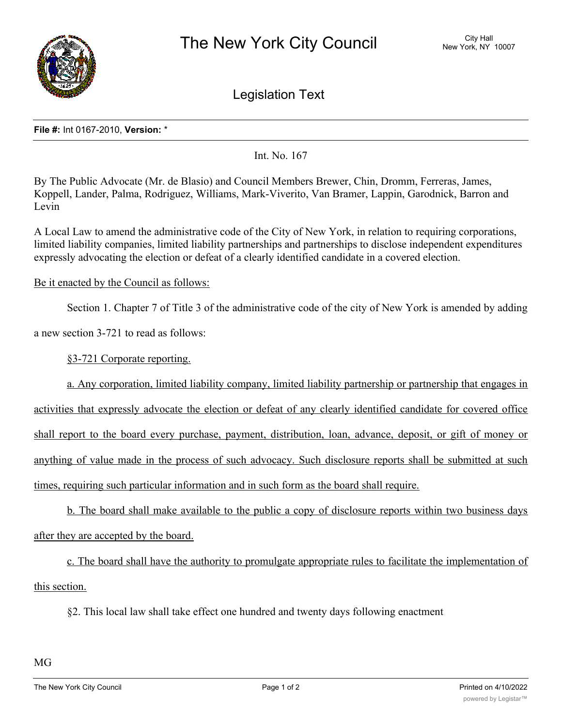

Legislation Text

## **File #:** Int 0167-2010, **Version:** \*

Int. No. 167

By The Public Advocate (Mr. de Blasio) and Council Members Brewer, Chin, Dromm, Ferreras, James, Koppell, Lander, Palma, Rodriguez, Williams, Mark-Viverito, Van Bramer, Lappin, Garodnick, Barron and Levin

A Local Law to amend the administrative code of the City of New York, in relation to requiring corporations, limited liability companies, limited liability partnerships and partnerships to disclose independent expenditures expressly advocating the election or defeat of a clearly identified candidate in a covered election.

## Be it enacted by the Council as follows:

Section 1. Chapter 7 of Title 3 of the administrative code of the city of New York is amended by adding

a new section 3-721 to read as follows:

§3-721 Corporate reporting.

a. Any corporation, limited liability company, limited liability partnership or partnership that engages in

activities that expressly advocate the election or defeat of any clearly identified candidate for covered office shall report to the board every purchase, payment, distribution, loan, advance, deposit, or gift of money or anything of value made in the process of such advocacy. Such disclosure reports shall be submitted at such times, requiring such particular information and in such form as the board shall require.

b. The board shall make available to the public a copy of disclosure reports within two business days after they are accepted by the board.

c. The board shall have the authority to promulgate appropriate rules to facilitate the implementation of this section.

§2. This local law shall take effect one hundred and twenty days following enactment